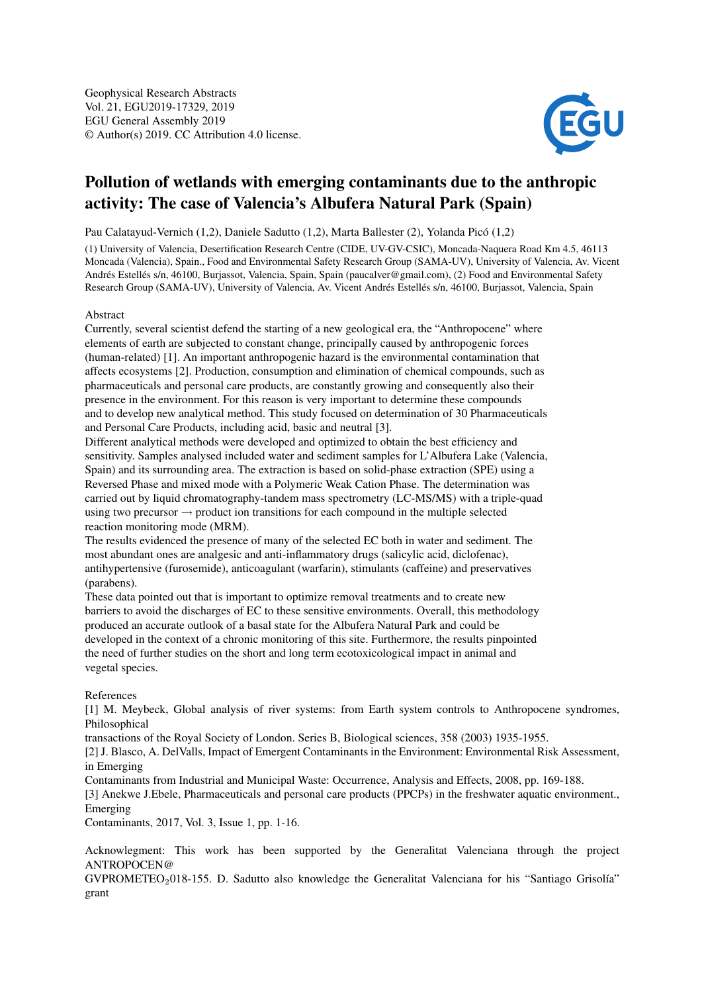

## Pollution of wetlands with emerging contaminants due to the anthropic activity: The case of Valencia's Albufera Natural Park (Spain)

Pau Calatayud-Vernich (1,2), Daniele Sadutto (1,2), Marta Ballester (2), Yolanda Picó (1,2)

(1) University of Valencia, Desertification Research Centre (CIDE, UV-GV-CSIC), Moncada-Naquera Road Km 4.5, 46113 Moncada (Valencia), Spain., Food and Environmental Safety Research Group (SAMA-UV), University of Valencia, Av. Vicent Andrés Estellés s/n, 46100, Burjassot, Valencia, Spain, Spain (paucalver@gmail.com), (2) Food and Environmental Safety Research Group (SAMA-UV), University of Valencia, Av. Vicent Andrés Estellés s/n, 46100, Burjassot, Valencia, Spain

## Abstract

Currently, several scientist defend the starting of a new geological era, the "Anthropocene" where elements of earth are subjected to constant change, principally caused by anthropogenic forces (human-related) [1]. An important anthropogenic hazard is the environmental contamination that affects ecosystems [2]. Production, consumption and elimination of chemical compounds, such as pharmaceuticals and personal care products, are constantly growing and consequently also their presence in the environment. For this reason is very important to determine these compounds and to develop new analytical method. This study focused on determination of 30 Pharmaceuticals and Personal Care Products, including acid, basic and neutral [3].

Different analytical methods were developed and optimized to obtain the best efficiency and sensitivity. Samples analysed included water and sediment samples for L'Albufera Lake (Valencia, Spain) and its surrounding area. The extraction is based on solid-phase extraction (SPE) using a Reversed Phase and mixed mode with a Polymeric Weak Cation Phase. The determination was carried out by liquid chromatography-tandem mass spectrometry (LC-MS/MS) with a triple-quad using two precursor  $\rightarrow$  product ion transitions for each compound in the multiple selected reaction monitoring mode (MRM).

The results evidenced the presence of many of the selected EC both in water and sediment. The most abundant ones are analgesic and anti-inflammatory drugs (salicylic acid, diclofenac), antihypertensive (furosemide), anticoagulant (warfarin), stimulants (caffeine) and preservatives (parabens).

These data pointed out that is important to optimize removal treatments and to create new barriers to avoid the discharges of EC to these sensitive environments. Overall, this methodology produced an accurate outlook of a basal state for the Albufera Natural Park and could be developed in the context of a chronic monitoring of this site. Furthermore, the results pinpointed the need of further studies on the short and long term ecotoxicological impact in animal and vegetal species.

## References

[1] M. Meybeck, Global analysis of river systems: from Earth system controls to Anthropocene syndromes, Philosophical

transactions of the Royal Society of London. Series B, Biological sciences, 358 (2003) 1935-1955.

[2] J. Blasco, A. DelValls, Impact of Emergent Contaminants in the Environment: Environmental Risk Assessment, in Emerging

Contaminants from Industrial and Municipal Waste: Occurrence, Analysis and Effects, 2008, pp. 169-188.

[3] Anekwe J.Ebele, Pharmaceuticals and personal care products (PPCPs) in the freshwater aquatic environment., Emerging

Contaminants, 2017, Vol. 3, Issue 1, pp. 1-16.

Acknowlegment: This work has been supported by the Generalitat Valenciana through the project ANTROPOCEN@

GVPROMETEO<sub>2</sub>018-155. D. Sadutto also knowledge the Generalitat Valenciana for his "Santiago Grisolía" grant